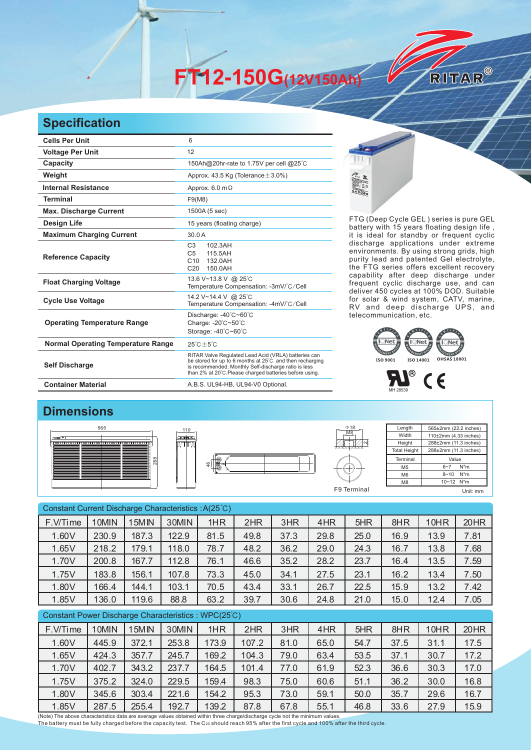**FT12-150G(12V150Ah)** 

## **Specification**

| <b>Cells Per Unit</b>                     | 6                                                                                                                                                                                                                                  |
|-------------------------------------------|------------------------------------------------------------------------------------------------------------------------------------------------------------------------------------------------------------------------------------|
| <b>Voltage Per Unit</b>                   | 12                                                                                                                                                                                                                                 |
| Capacity                                  | 150Ah@20hr-rate to 1.75V per cell @25°C                                                                                                                                                                                            |
| Weight                                    | Approx. 43.5 Kg (Tolerance $\pm$ 3.0%)                                                                                                                                                                                             |
| <b>Internal Resistance</b>                | Approx. $6.0 \text{ m}\Omega$                                                                                                                                                                                                      |
| <b>Terminal</b>                           | F9(M8)                                                                                                                                                                                                                             |
| <b>Max. Discharge Current</b>             | 1500A (5 sec)                                                                                                                                                                                                                      |
| <b>Design Life</b>                        | 15 years (floating charge)                                                                                                                                                                                                         |
| <b>Maximum Charging Current</b>           | 30.0A                                                                                                                                                                                                                              |
| <b>Reference Capacity</b>                 | C <sub>3</sub><br>102.3AH<br>C <sub>5</sub><br>115.5AH<br>C10<br>132.0AH<br>C <sub>20</sub><br>150.0AH                                                                                                                             |
| <b>Float Charging Voltage</b>             | 13.6 V~13.8 V @ 25°C<br>Temperature Compensation: -3mV/°C/Cell                                                                                                                                                                     |
| <b>Cycle Use Voltage</b>                  | 14.2 V~14.4 V @ 25°C<br>Temperature Compensation: -4mV/°C/Cell                                                                                                                                                                     |
| <b>Operating Temperature Range</b>        | Discharge: -40°C~60°C<br>Charge: -20°C~50°C<br>Storage: -40°C~60°C                                                                                                                                                                 |
| <b>Normal Operating Temperature Range</b> | $25^{\circ}$ C + 5 $^{\circ}$ C                                                                                                                                                                                                    |
| <b>Self Discharge</b>                     | RITAR Valve Regulated Lead Acid (VRLA) batteries can<br>be stored for up to 6 months at 25°C and then recharging<br>is recommended. Monthly Self-discharge ratio is less<br>than 2% at 20°C.Please charged batteries before using. |
| <b>Container Material</b>                 | A.B.S. UL94-HB, UL94-V0 Optional.                                                                                                                                                                                                  |



FTG (Deep Cycle GEL) series is pure GEL battery with 15 years floating design life, it is ideal for standby or frequent cyclic discharge applications under extreme environments. By using strong grids, high purity lead and patented Gel electrolyte, the FTG series offers excellent recovery capability after deep discharge under frequent cyclic discharge use, and can deliver 450 cycles at 100% DOD. Suitable for solar & wind system, CATV, marine, RV and deep discharge UPS, and telecommunication, etc.

RITAR®





## **Dimensions**







Length Width **Height Total Height** 565±2mm (22.2 inches) 110±2mm (4.33 inches) 288±2mm (11.3 inches) 288±2mm (11.3 inches) Terminal M5 M6 M8 Value  $6 - 7$  N<sup>\*</sup>m  $8 - 10$  N<sup>\*</sup>m 10~12 N\*m F9 Terminal Unit: mm

Constant Current Discharge Characteristics : A(25℃) Constant Power Discharge Characteristics : WPC(25℃) F.V/Time | 10MIN | 15MIN | 30MIN | 1HR | 2HR | 3HR | 4HR | 5HR | 8HR | 10HR | 20HR 1.60V 230.9 187.3 122.9 81.5 49.8 37.3 29.8 25.0 16.9 13.9 7.81 1.65V 218.2 179.1 118.0 78.7 48.2 36.2 29.0 24.3 16.7 13.8 7.68 1.70V | 200.8 | 167.7 | 112.8 | 76.1 | 46.6 | 35.2 | 28.2 | 23.7 | 16.4 | 13.5 | 7.59 1.75V | 183.8 | 156.1 | 107.8 | 73.3 | 45.0 | 34.1 | 27.5 | 23.1 | 16.2 | 13.4 | 7.50 1.80V 166.4 144.1 103.1 70.5 43.4 33.1 26.7 22.5 15.9 13.2 7.42 1.85V 136.0 119.6 88.8 63.2 39.7 30.6 24.8 21.0 15.0 12.4 7.05 F.V/Time | 10MIN | 15MIN | 30MIN | 1HR | 2HR | 3HR | 4HR | 5HR | 8HR | 10HR | 20HR 1.60V 445.9 372.1 253.8 173.9 107.2 81.0 65.0 54.7 37.5 31.1 17.5 1.65V 424.3 357.7 245.7 169.2 104.3 79.0 63.4 53.5 37.1 30.7 17.2 1.70V 402.7 343.2 237.7 164.5 101.4 77.0 61.9 52.3 36.6 30.3 17.0 1.75V | 375.2 | 324.0 | 229.5 | 159.4 | 98.3 | 75.0 | 60.6 | 51.1 | 36.2 | 30.0 | 16.8 1.80V | 345.6 | 303.4 | 221.6 | 154.2 | 95.3 | 73.0 | 59.1 | 50.0 | 35.7 | 29.6 | 16.7 1.85V 287.5 255.4 192.7 139.2 87.8 67.8 55.1 46.8 33.6 27.9 15.9

(Note) The above characteristics data are average values obtained within three charge/discharge cycle not the minimum values. The battery must be fully charged before the capacity test. The C<sub>20</sub> should reach 95% after the first cycle and 100% after the third cycle.